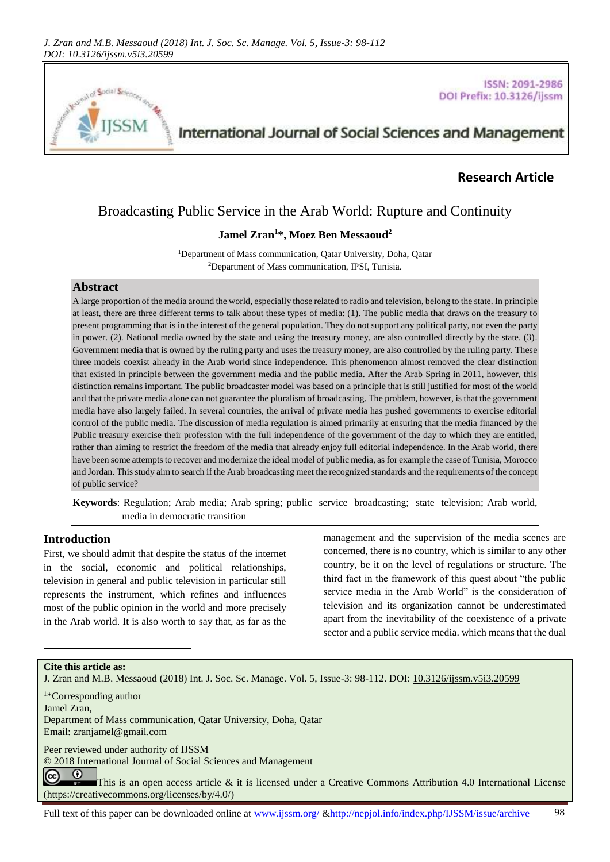

#### **ISSN: 2091-2986** DOI Prefix: 10.3126/ijssm

# International Journal of Social Sciences and Management

# **Research Article**

# Broadcasting Public Service in the Arab World: Rupture and Continuity

## **Jamel Zran<sup>1</sup>\*, Moez Ben Messaoud<sup>2</sup>**

<sup>1</sup>Department of Mass communication, Qatar University, Doha, Qatar <sup>2</sup>Department of Mass communication, IPSI, Tunisia.

### **Abstract**

A large proportion of the media around the world, especially those related to radio and television, belong to the state. In principle at least, there are three different terms to talk about these types of media: (1). The public media that draws on the treasury to present programming that is in the interest of the general population. They do not support any political party, not even the party in power. (2). National media owned by the state and using the treasury money, are also controlled directly by the state. (3). Government media that is owned by the ruling party and uses the treasury money, are also controlled by the ruling party. These three models coexist already in the Arab world since independence. This phenomenon almost removed the clear distinction that existed in principle between the government media and the public media. After the Arab Spring in 2011, however, this distinction remains important. The public broadcaster model was based on a principle that is still justified for most of the world and that the private media alone can not guarantee the pluralism of broadcasting. The problem, however, is that the government media have also largely failed. In several countries, the arrival of private media has pushed governments to exercise editorial control of the public media. The discussion of media regulation is aimed primarily at ensuring that the media financed by the Public treasury exercise their profession with the full independence of the government of the day to which they are entitled, rather than aiming to restrict the freedom of the media that already enjoy full editorial independence. In the Arab world, there have been some attempts to recover and modernize the ideal model of public media, as for example the case of Tunisia, Morocco and Jordan. This study aim to search if the Arab broadcasting meet the recognized standards and the requirements of the concept of public service?

**Keywords**: Regulation; Arab media; Arab spring; public service broadcasting; state television; Arab world, media in democratic transition

#### **Introduction**

First, we should admit that despite the status of the internet in the social, economic and political relationships, television in general and public television in particular still represents the instrument, which refines and influences most of the public opinion in the world and more precisely in the Arab world. It is also worth to say that, as far as the

management and the supervision of the media scenes are concerned, there is no country, which is similar to any other country, be it on the level of regulations or structure. The third fact in the framework of this quest about "the public service media in the Arab World" is the consideration of television and its organization cannot be underestimated apart from the inevitability of the coexistence of a private sector and a public service media. which means that the dual

#### **Cite this article as:**

J. Zran and M.B. Messaoud (2018) Int. J. Soc. Sc. Manage. Vol. 5, Issue-3: 98-112. DOI: [10.3126/ijssm.v5i3.20599](http://dx.doi.org/10.3126/ijssm.v5i3.20599)

<sup>1</sup>\*Corresponding author

Jamel Zran,

l

Department of Mass communication, Qatar University, Doha, Qatar Email[: zranjamel@gmail.com](mailto:zranjamel@gmail.com) 

Peer reviewed under authority of IJSSM

© 2018 International Journal of Social Sciences and Management

 $\odot$  $cc$ This is an open access article & it is licensed under a Creative Commons Attribution 4.0 International License [\(https://creativecommons.org/licenses/by/4.0/\)](https://creativecommons.org/licenses/by/4.0/)

Full text of this paper can be downloaded online at www.ijssm.org/ &http://nepjol.info/index.php/IJSSM/issue/archive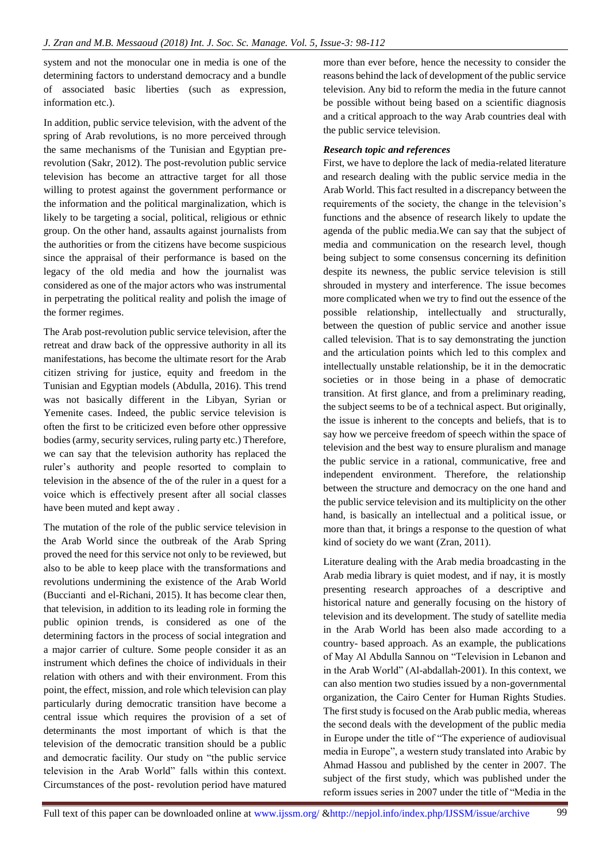system and not the monocular one in media is one of the determining factors to understand democracy and a bundle of associated basic liberties (such as expression, information etc.).

In addition, public service television, with the advent of the spring of Arab revolutions, is no more perceived through the same mechanisms of the Tunisian and Egyptian prerevolution (Sakr, 2012). The post-revolution public service television has become an attractive target for all those willing to protest against the government performance or the information and the political marginalization, which is likely to be targeting a social, political, religious or ethnic group. On the other hand, assaults against journalists from the authorities or from the citizens have become suspicious since the appraisal of their performance is based on the legacy of the old media and how the journalist was considered as one of the major actors who was instrumental in perpetrating the political reality and polish the image of the former regimes.

The Arab post-revolution public service television, after the retreat and draw back of the oppressive authority in all its manifestations, has become the ultimate resort for the Arab citizen striving for justice, equity and freedom in the Tunisian and Egyptian models (Abdulla, 2016). This trend was not basically different in the Libyan, Syrian or Yemenite cases. Indeed, the public service television is often the first to be criticized even before other oppressive bodies (army, security services, ruling party etc.) Therefore, we can say that the television authority has replaced the ruler's authority and people resorted to complain to television in the absence of the of the ruler in a quest for a voice which is effectively present after all social classes have been muted and kept away .

The mutation of the role of the public service television in the Arab World since the outbreak of the Arab Spring proved the need for this service not only to be reviewed, but also to be able to keep place with the transformations and revolutions undermining the existence of the Arab World (Buccianti and el-Richani, 2015). It has become clear then, that television, in addition to its leading role in forming the public opinion trends, is considered as one of the determining factors in the process of social integration and a major carrier of culture. Some people consider it as an instrument which defines the choice of individuals in their relation with others and with their environment. From this point, the effect, mission, and role which television can play particularly during democratic transition have become a central issue which requires the provision of a set of determinants the most important of which is that the television of the democratic transition should be a public and democratic facility. Our study on "the public service television in the Arab World" falls within this context. Circumstances of the post- revolution period have matured

more than ever before, hence the necessity to consider the reasons behind the lack of development of the public service television. Any bid to reform the media in the future cannot be possible without being based on a scientific diagnosis and a critical approach to the way Arab countries deal with the public service television.

## *Research topic and references*

First, we have to deplore the lack of media-related literature and research dealing with the public service media in the Arab World. This fact resulted in a discrepancy between the requirements of the society, the change in the television's functions and the absence of research likely to update the agenda of the public media.We can say that the subject of media and communication on the research level, though being subject to some consensus concerning its definition despite its newness, the public service television is still shrouded in mystery and interference. The issue becomes more complicated when we try to find out the essence of the possible relationship, intellectually and structurally, between the question of public service and another issue called television. That is to say demonstrating the junction and the articulation points which led to this complex and intellectually unstable relationship, be it in the democratic societies or in those being in a phase of democratic transition. At first glance, and from a preliminary reading, the subject seems to be of a technical aspect. But originally, the issue is inherent to the concepts and beliefs, that is to say how we perceive freedom of speech within the space of television and the best way to ensure pluralism and manage the public service in a rational, communicative, free and independent environment. Therefore, the relationship between the structure and democracy on the one hand and the public service television and its multiplicity on the other hand, is basically an intellectual and a political issue, or more than that, it brings a response to the question of what kind of society do we want (Zran, 2011).

Literature dealing with the Arab media broadcasting in the Arab media library is quiet modest, and if nay, it is mostly presenting research approaches of a descriptive and historical nature and generally focusing on the history of television and its development. The study of satellite media in the Arab World has been also made according to a country- based approach. As an example, the publications of May Al Abdulla Sannou on "Television in Lebanon and in the Arab World" (Al-abdallah-2001). In this context, we can also mention two studies issued by a non-governmental organization, the Cairo Center for Human Rights Studies. The first study is focused on the Arab public media, whereas the second deals with the development of the public media in Europe under the title of "The experience of audiovisual media in Europe", a western study translated into Arabic by Ahmad Hassou and published by the center in 2007. The subject of the first study, which was published under the reform issues series in 2007 under the title of "Media in the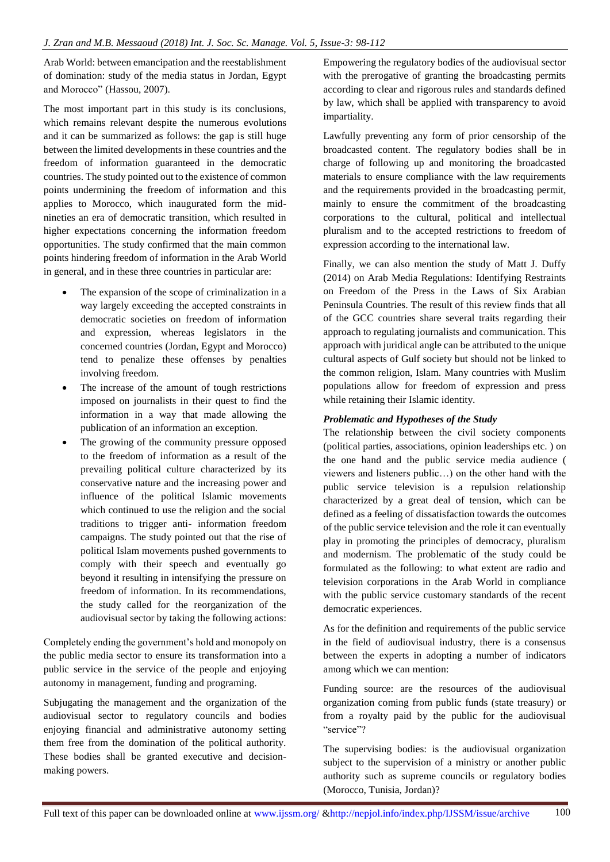Arab World: between emancipation and the reestablishment of domination: study of the media status in Jordan, Egypt and Morocco" (Hassou, 2007).

The most important part in this study is its conclusions, which remains relevant despite the numerous evolutions and it can be summarized as follows: the gap is still huge between the limited developments in these countries and the freedom of information guaranteed in the democratic countries. The study pointed out to the existence of common points undermining the freedom of information and this applies to Morocco, which inaugurated form the midnineties an era of democratic transition, which resulted in higher expectations concerning the information freedom opportunities. The study confirmed that the main common points hindering freedom of information in the Arab World in general, and in these three countries in particular are:

- The expansion of the scope of criminalization in a way largely exceeding the accepted constraints in democratic societies on freedom of information and expression, whereas legislators in the concerned countries (Jordan, Egypt and Morocco) tend to penalize these offenses by penalties involving freedom.
- The increase of the amount of tough restrictions imposed on journalists in their quest to find the information in a way that made allowing the publication of an information an exception.
- The growing of the community pressure opposed to the freedom of information as a result of the prevailing political culture characterized by its conservative nature and the increasing power and influence of the political Islamic movements which continued to use the religion and the social traditions to trigger anti- information freedom campaigns. The study pointed out that the rise of political Islam movements pushed governments to comply with their speech and eventually go beyond it resulting in intensifying the pressure on freedom of information. In its recommendations, the study called for the reorganization of the audiovisual sector by taking the following actions:

Completely ending the government's hold and monopoly on the public media sector to ensure its transformation into a public service in the service of the people and enjoying autonomy in management, funding and programing.

Subjugating the management and the organization of the audiovisual sector to regulatory councils and bodies enjoying financial and administrative autonomy setting them free from the domination of the political authority. These bodies shall be granted executive and decisionmaking powers.

Empowering the regulatory bodies of the audiovisual sector with the prerogative of granting the broadcasting permits according to clear and rigorous rules and standards defined by law, which shall be applied with transparency to avoid impartiality.

Lawfully preventing any form of prior censorship of the broadcasted content. The regulatory bodies shall be in charge of following up and monitoring the broadcasted materials to ensure compliance with the law requirements and the requirements provided in the broadcasting permit, mainly to ensure the commitment of the broadcasting corporations to the cultural, political and intellectual pluralism and to the accepted restrictions to freedom of expression according to the international law.

Finally, we can also mention the study of Matt J. Duffy (2014) on Arab Media Regulations: Identifying Restraints on Freedom of the Press in the Laws of Six Arabian Peninsula Countries. The result of this review finds that all of the GCC countries share several traits regarding their approach to regulating journalists and communication. This approach with juridical angle can be attributed to the unique cultural aspects of Gulf society but should not be linked to the common religion, Islam. Many countries with Muslim populations allow for freedom of expression and press while retaining their Islamic identity.

## *Problematic and Hypotheses of the Study*

The relationship between the civil society components (political parties, associations, opinion leaderships etc. ) on the one hand and the public service media audience ( viewers and listeners public…) on the other hand with the public service television is a repulsion relationship characterized by a great deal of tension, which can be defined as a feeling of dissatisfaction towards the outcomes of the public service television and the role it can eventually play in promoting the principles of democracy, pluralism and modernism. The problematic of the study could be formulated as the following: to what extent are radio and television corporations in the Arab World in compliance with the public service customary standards of the recent democratic experiences.

As for the definition and requirements of the public service in the field of audiovisual industry, there is a consensus between the experts in adopting a number of indicators among which we can mention:

Funding source: are the resources of the audiovisual organization coming from public funds (state treasury) or from a royalty paid by the public for the audiovisual "service"?

The supervising bodies: is the audiovisual organization subject to the supervision of a ministry or another public authority such as supreme councils or regulatory bodies (Morocco, Tunisia, Jordan)?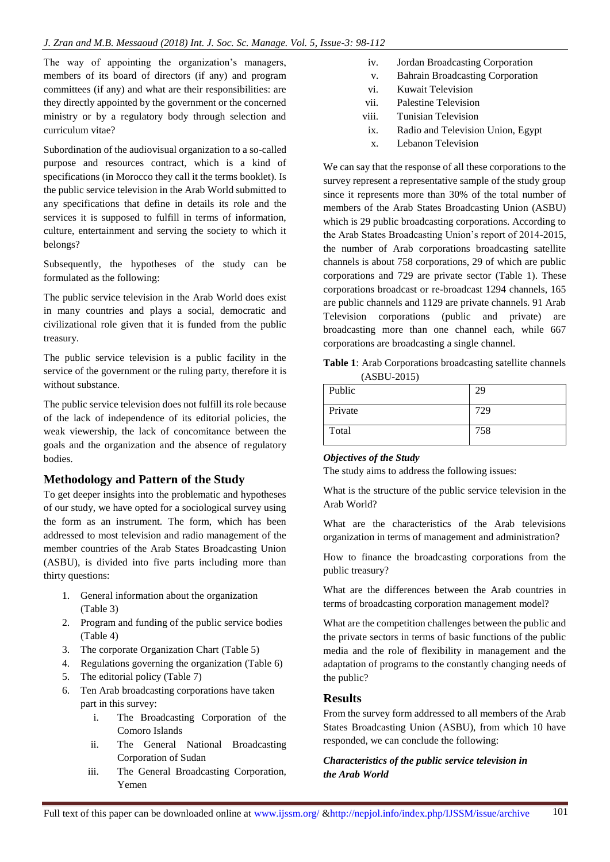The way of appointing the organization's managers, members of its board of directors (if any) and program committees (if any) and what are their responsibilities: are they directly appointed by the government or the concerned ministry or by a regulatory body through selection and curriculum vitae?

Subordination of the audiovisual organization to a so-called purpose and resources contract, which is a kind of specifications (in Morocco they call it the terms booklet). Is the public service television in the Arab World submitted to any specifications that define in details its role and the services it is supposed to fulfill in terms of information, culture, entertainment and serving the society to which it belongs?

Subsequently, the hypotheses of the study can be formulated as the following:

The public service television in the Arab World does exist in many countries and plays a social, democratic and civilizational role given that it is funded from the public treasury.

The public service television is a public facility in the service of the government or the ruling party, therefore it is without substance.

The public service television does not fulfill its role because of the lack of independence of its editorial policies, the weak viewership, the lack of concomitance between the goals and the organization and the absence of regulatory bodies.

# **Methodology and Pattern of the Study**

To get deeper insights into the problematic and hypotheses of our study, we have opted for a sociological survey using the form as an instrument. The form, which has been addressed to most television and radio management of the member countries of the Arab States Broadcasting Union (ASBU), is divided into five parts including more than thirty questions:

- 1. General information about the organization (Table 3)
- 2. Program and funding of the public service bodies (Table 4)
- 3. The corporate Organization Chart (Table 5)
- 4. Regulations governing the organization (Table 6)
- 5. The editorial policy (Table 7)
- 6. Ten Arab broadcasting corporations have taken part in this survey:
	- i. The Broadcasting Corporation of the Comoro Islands
	- ii. The General National Broadcasting Corporation of Sudan
	- iii. The General Broadcasting Corporation, Yemen
- iv. Jordan Broadcasting Corporation
- v. Bahrain Broadcasting Corporation
- vi. Kuwait Television
- vii. Palestine Television
- viii. Tunisian Television
- ix. Radio and Television Union, Egypt
- x. Lebanon Television

We can say that the response of all these corporations to the survey represent a representative sample of the study group since it represents more than 30% of the total number of members of the Arab States Broadcasting Union (ASBU) which is 29 public broadcasting corporations. According to the Arab States Broadcasting Union's report of 2014-2015, the number of Arab corporations broadcasting satellite channels is about 758 corporations, 29 of which are public corporations and 729 are private sector (Table 1). These corporations broadcast or re-broadcast 1294 channels, 165 are public channels and 1129 are private channels. 91 Arab Television corporations (public and private) are broadcasting more than one channel each, while 667 corporations are broadcasting a single channel.

**Table 1**: Arab Corporations broadcasting satellite channels (ASBU-2015)

| Public  | 29  |
|---------|-----|
| Private | 729 |
| Total   | 758 |

## *Objectives of the Study*

The study aims to address the following issues:

What is the structure of the public service television in the Arab World?

What are the characteristics of the Arab televisions organization in terms of management and administration?

How to finance the broadcasting corporations from the public treasury?

What are the differences between the Arab countries in terms of broadcasting corporation management model?

What are the competition challenges between the public and the private sectors in terms of basic functions of the public media and the role of flexibility in management and the adaptation of programs to the constantly changing needs of the public?

## **Results**

From the survey form addressed to all members of the Arab States Broadcasting Union (ASBU), from which 10 have responded, we can conclude the following:

## *Characteristics of the public service television in the Arab World*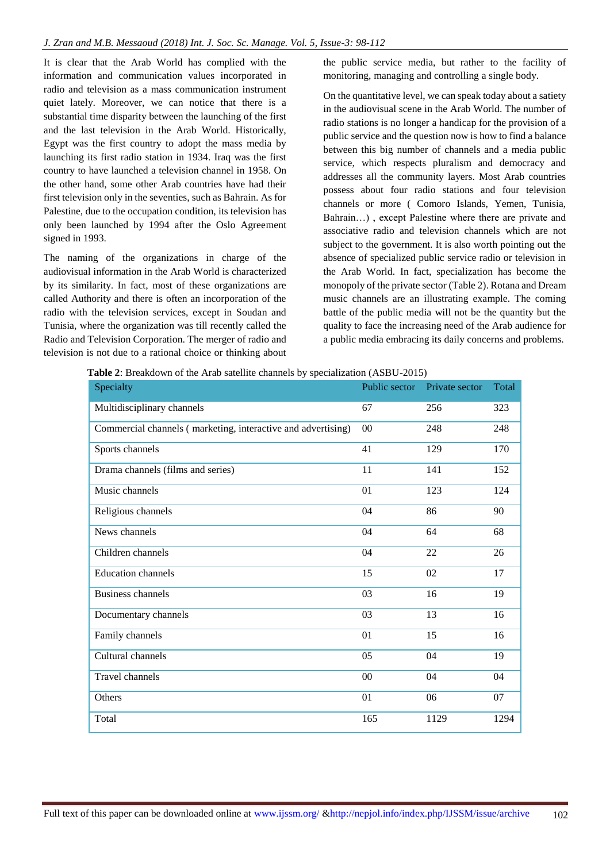It is clear that the Arab World has complied with the information and communication values incorporated in radio and television as a mass communication instrument quiet lately. Moreover, we can notice that there is a substantial time disparity between the launching of the first and the last television in the Arab World. Historically, Egypt was the first country to adopt the mass media by launching its first radio station in 1934. Iraq was the first country to have launched a television channel in 1958. On the other hand, some other Arab countries have had their first television only in the seventies, such as Bahrain. As for Palestine, due to the occupation condition, its television has only been launched by 1994 after the Oslo Agreement signed in 1993.

The naming of the organizations in charge of the audiovisual information in the Arab World is characterized by its similarity. In fact, most of these organizations are called Authority and there is often an incorporation of the radio with the television services, except in Soudan and Tunisia, where the organization was till recently called the Radio and Television Corporation. The merger of radio and television is not due to a rational choice or thinking about the public service media, but rather to the facility of monitoring, managing and controlling a single body.

On the quantitative level, we can speak today about a satiety in the audiovisual scene in the Arab World. The number of radio stations is no longer a handicap for the provision of a public service and the question now is how to find a balance between this big number of channels and a media public service, which respects pluralism and democracy and addresses all the community layers. Most Arab countries possess about four radio stations and four television channels or more ( Comoro Islands, Yemen, Tunisia, Bahrain…) , except Palestine where there are private and associative radio and television channels which are not subject to the government. It is also worth pointing out the absence of specialized public service radio or television in the Arab World. In fact, specialization has become the monopoly of the private sector (Table 2). Rotana and Dream music channels are an illustrating example. The coming battle of the public media will not be the quantity but the quality to face the increasing need of the Arab audience for a public media embracing its daily concerns and problems.

| Table 2: Breakdown of the Arab satellite channels by specialization (ASBU-2015) |  |  |  |  |
|---------------------------------------------------------------------------------|--|--|--|--|
|                                                                                 |  |  |  |  |

| Specialty                                                    | Public sector | Private sector | Total |
|--------------------------------------------------------------|---------------|----------------|-------|
| Multidisciplinary channels                                   | 67            | 256            | 323   |
| Commercial channels (marketing, interactive and advertising) | 00            | 248            | 248   |
| Sports channels                                              | 41            | 129            | 170   |
| Drama channels (films and series)                            | 11            | 141            | 152   |
| Music channels                                               | 01            | 123            | 124   |
| Religious channels                                           | 04            | 86             | 90    |
| News channels                                                | 04            | 64             | 68    |
| Children channels                                            | 04            | 22             | 26    |
| <b>Education channels</b>                                    | 15            | 02             | 17    |
| Business channels                                            | 03            | 16             | 19    |
| Documentary channels                                         | 03            | 13             | 16    |
| Family channels                                              | 01            | 15             | 16    |
| Cultural channels                                            | 05            | 04             | 19    |
| Travel channels                                              | 00            | 04             | 04    |
| Others                                                       | 01            | 06             | 07    |
| Total                                                        | 165           | 1129           | 1294  |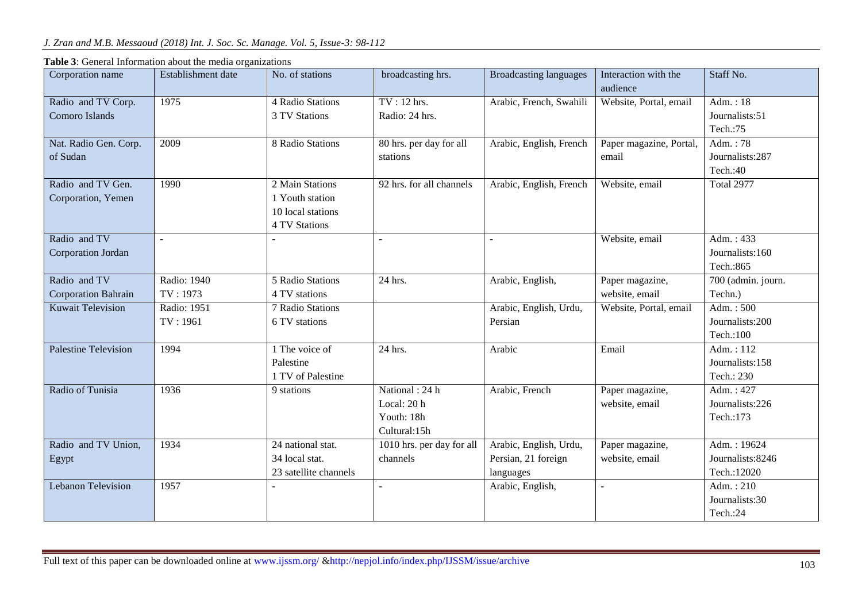| Corporation name                           | Establishment date      | No. of stations                                                          | broadcasting hrs.                                           | <b>Broadcasting languages</b>                              | Interaction with the<br>audience  | Staff No.                                      |
|--------------------------------------------|-------------------------|--------------------------------------------------------------------------|-------------------------------------------------------------|------------------------------------------------------------|-----------------------------------|------------------------------------------------|
| Radio and TV Corp.<br>Comoro Islands       | 1975                    | 4 Radio Stations<br>3 TV Stations                                        | TV: 12 hrs.<br>Radio: 24 hrs.                               | Arabic, French, Swahili                                    | Website, Portal, email            | Adm.: $18$<br>Journalists:51<br>Tech.:75       |
| Nat. Radio Gen. Corp.<br>of Sudan          | 2009                    | 8 Radio Stations                                                         | 80 hrs. per day for all<br>stations                         | Arabic, English, French                                    | Paper magazine, Portal,<br>email  | Adm.: 78<br>Journalists:287<br>Tech.:40        |
| Radio and TV Gen.<br>Corporation, Yemen    | 1990                    | 2 Main Stations<br>1 Youth station<br>10 local stations<br>4 TV Stations | 92 hrs. for all channels                                    | Arabic, English, French                                    | Website, email                    | <b>Total 2977</b>                              |
| Radio and TV<br>Corporation Jordan         |                         |                                                                          |                                                             | $\overline{a}$                                             | Website, email                    | Adm.: $433$<br>Journalists:160<br>Tech.: 865   |
| Radio and TV<br><b>Corporation Bahrain</b> | Radio: 1940<br>TV: 1973 | 5 Radio Stations<br>4 TV stations                                        | 24 hrs.                                                     | Arabic, English,                                           | Paper magazine,<br>website, email | 700 (admin. journ.<br>Techn.)                  |
| <b>Kuwait Television</b>                   | Radio: 1951<br>TV: 1961 | 7 Radio Stations<br>6 TV stations                                        |                                                             | Arabic, English, Urdu,<br>Persian                          | Website, Portal, email            | Adm.: $500$<br>Journalists:200<br>Tech.:100    |
| <b>Palestine Television</b>                | 1994                    | 1 The voice of<br>Palestine<br>1 TV of Palestine                         | 24 hrs.                                                     | Arabic                                                     | Email                             | Adm.: $112$<br>Journalists:158<br>Tech.: 230   |
| Radio of Tunisia                           | 1936                    | 9 stations                                                               | National: 24 h<br>Local: 20 h<br>Youth: 18h<br>Cultural:15h | Arabic, French                                             | Paper magazine,<br>website, email | Adm.: 427<br>Journalists:226<br>Tech.:173      |
| Radio and TV Union,<br>Egypt               | 1934                    | 24 national stat.<br>34 local stat.<br>23 satellite channels             | 1010 hrs. per day for all<br>channels                       | Arabic, English, Urdu,<br>Persian, 21 foreign<br>languages | Paper magazine,<br>website, email | Adm.: 19624<br>Journalists:8246<br>Tech.:12020 |
| <b>Lebanon Television</b>                  | 1957                    |                                                                          |                                                             | Arabic, English,                                           | $\overline{a}$                    | Adm.: $210$<br>Journalists:30<br>Tech.:24      |

**Table 3**: General Information about the media organizations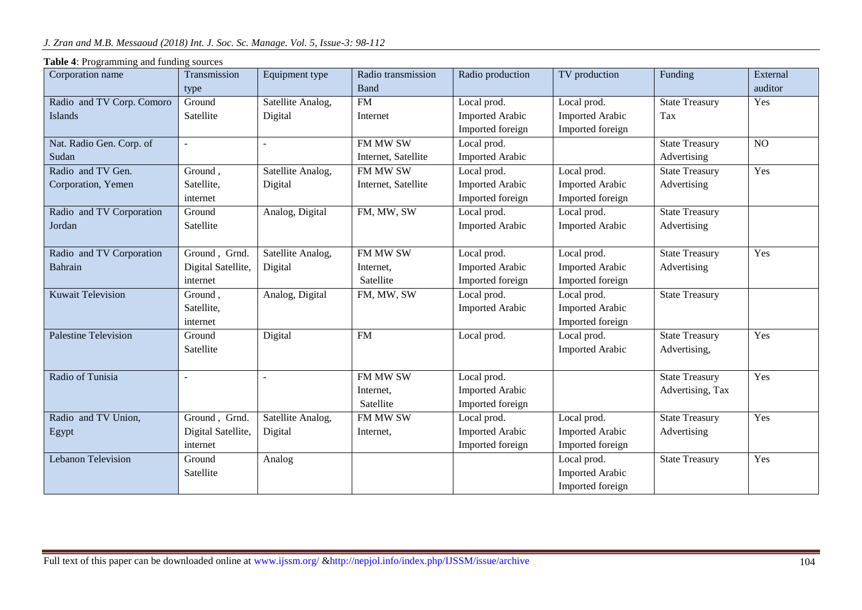| Corporation name            | Transmission       | Equipment type    | Radio transmission  | Radio production       | TV production          | Funding               | External |
|-----------------------------|--------------------|-------------------|---------------------|------------------------|------------------------|-----------------------|----------|
|                             | type               |                   | Band                |                        |                        |                       | auditor  |
| Radio and TV Corp. Comoro   | Ground             | Satellite Analog, | ${\rm FM}$          | Local prod.            | Local prod.            | <b>State Treasury</b> | Yes      |
| Islands                     | Satellite          | Digital           | Internet            | <b>Imported Arabic</b> | <b>Imported Arabic</b> | Tax                   |          |
|                             |                    |                   |                     | Imported foreign       | Imported foreign       |                       |          |
| Nat. Radio Gen. Corp. of    | $\sim$             |                   | FM MW SW            | Local prod.            |                        | <b>State Treasury</b> | NO       |
| Sudan                       |                    |                   | Internet, Satellite | <b>Imported Arabic</b> |                        | Advertising           |          |
| Radio and TV Gen.           | Ground,            | Satellite Analog, | FM MW SW            | Local prod.            | Local prod.            | <b>State Treasury</b> | Yes      |
| Corporation, Yemen          | Satellite,         | Digital           | Internet, Satellite | Imported Arabic        | <b>Imported Arabic</b> | Advertising           |          |
|                             | internet           |                   |                     | Imported foreign       | Imported foreign       |                       |          |
| Radio and TV Corporation    | Ground             | Analog, Digital   | FM, MW, SW          | Local prod.            | Local prod.            | <b>State Treasury</b> |          |
| Jordan                      | Satellite          |                   |                     | <b>Imported Arabic</b> | <b>Imported Arabic</b> | Advertising           |          |
|                             |                    |                   |                     |                        |                        |                       |          |
| Radio and TV Corporation    | Ground, Grnd.      | Satellite Analog, | FM MW SW            | Local prod.            | Local prod.            | <b>State Treasury</b> | Yes      |
| <b>Bahrain</b>              | Digital Satellite, | Digital           | Internet.           | <b>Imported Arabic</b> | <b>Imported Arabic</b> | Advertising           |          |
|                             | internet           |                   | Satellite           | Imported foreign       | Imported foreign       |                       |          |
| <b>Kuwait Television</b>    | Ground,            | Analog, Digital   | FM, MW, SW          | Local prod.            | Local prod.            | <b>State Treasury</b> |          |
|                             | Satellite,         |                   |                     | <b>Imported Arabic</b> | <b>Imported Arabic</b> |                       |          |
|                             | internet           |                   |                     |                        | Imported foreign       |                       |          |
| <b>Palestine Television</b> | Ground             | Digital           | <b>FM</b>           | Local prod.            | Local prod.            | <b>State Treasury</b> | Yes      |
|                             | Satellite          |                   |                     |                        | <b>Imported Arabic</b> | Advertising,          |          |
|                             |                    |                   |                     |                        |                        |                       |          |
| Radio of Tunisia            | L,                 |                   | FM MW SW            | Local prod.            |                        | <b>State Treasury</b> | Yes      |
|                             |                    |                   | Internet,           | <b>Imported Arabic</b> |                        | Advertising, Tax      |          |
|                             |                    |                   | Satellite           | Imported foreign       |                        |                       |          |
| Radio and TV Union,         | Ground, Grnd.      | Satellite Analog, | FM MW SW            | Local prod.            | Local prod.            | <b>State Treasury</b> | Yes      |
| Egypt                       | Digital Satellite, | Digital           | Internet,           | <b>Imported Arabic</b> | <b>Imported Arabic</b> | Advertising           |          |
|                             | internet           |                   |                     | Imported foreign       | Imported foreign       |                       |          |
| <b>Lebanon Television</b>   | Ground             | Analog            |                     |                        | Local prod.            | <b>State Treasury</b> | Yes      |
|                             | Satellite          |                   |                     |                        | <b>Imported Arabic</b> |                       |          |
|                             |                    |                   |                     |                        | Imported foreign       |                       |          |

### **Table 4**: Programming and funding sources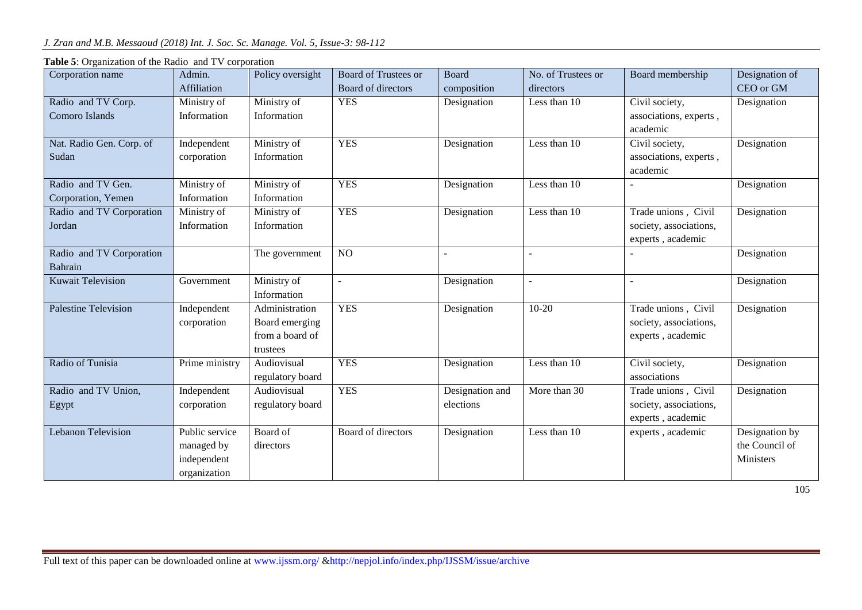| Corporation name            | Admin.         | Policy oversight | Board of Trustees or | <b>Board</b>    | No. of Trustees or | Board membership       | Designation of |
|-----------------------------|----------------|------------------|----------------------|-----------------|--------------------|------------------------|----------------|
|                             | Affiliation    |                  | Board of directors   | composition     | directors          |                        | CEO or GM      |
| Radio and TV Corp.          | Ministry of    | Ministry of      | <b>YES</b>           | Designation     | Less than 10       | Civil society,         | Designation    |
| Comoro Islands              | Information    | Information      |                      |                 |                    | associations, experts, |                |
|                             |                |                  |                      |                 |                    | academic               |                |
| Nat. Radio Gen. Corp. of    | Independent    | Ministry of      | <b>YES</b>           | Designation     | Less than 10       | Civil society,         | Designation    |
| Sudan                       | corporation    | Information      |                      |                 |                    | associations, experts, |                |
|                             |                |                  |                      |                 |                    | academic               |                |
| Radio and TV Gen.           | Ministry of    | Ministry of      | <b>YES</b>           | Designation     | Less than 10       |                        | Designation    |
| Corporation, Yemen          | Information    | Information      |                      |                 |                    |                        |                |
| Radio and TV Corporation    | Ministry of    | Ministry of      | <b>YES</b>           | Designation     | Less than 10       | Trade unions, Civil    | Designation    |
| Jordan                      | Information    | Information      |                      |                 |                    | society, associations, |                |
|                             |                |                  |                      |                 |                    | experts, academic      |                |
| Radio and TV Corporation    |                | The government   | $\overline{NO}$      |                 |                    |                        | Designation    |
| Bahrain                     |                |                  |                      |                 |                    |                        |                |
| <b>Kuwait Television</b>    | Government     | Ministry of      | $\overline{a}$       | Designation     |                    |                        | Designation    |
|                             |                | Information      |                      |                 |                    |                        |                |
| <b>Palestine Television</b> | Independent    | Administration   | <b>YES</b>           | Designation     | $10 - 20$          | Trade unions, Civil    | Designation    |
|                             | corporation    | Board emerging   |                      |                 |                    | society, associations, |                |
|                             |                | from a board of  |                      |                 |                    | experts, academic      |                |
|                             |                | trustees         |                      |                 |                    |                        |                |
| Radio of Tunisia            | Prime ministry | Audiovisual      | <b>YES</b>           | Designation     | Less than 10       | Civil society,         | Designation    |
|                             |                | regulatory board |                      |                 |                    | associations           |                |
| Radio and TV Union,         | Independent    | Audiovisual      | <b>YES</b>           | Designation and | More than 30       | Trade unions, Civil    | Designation    |
| Egypt                       | corporation    | regulatory board |                      | elections       |                    | society, associations, |                |
|                             |                |                  |                      |                 |                    | experts, academic      |                |
| <b>Lebanon Television</b>   | Public service | Board of         | Board of directors   | Designation     | Less than 10       | experts, academic      | Designation by |
|                             | managed by     | directors        |                      |                 |                    |                        | the Council of |
|                             | independent    |                  |                      |                 |                    |                        | Ministers      |
|                             | organization   |                  |                      |                 |                    |                        |                |

**Table 5**: Organization of the Radio and TV corporation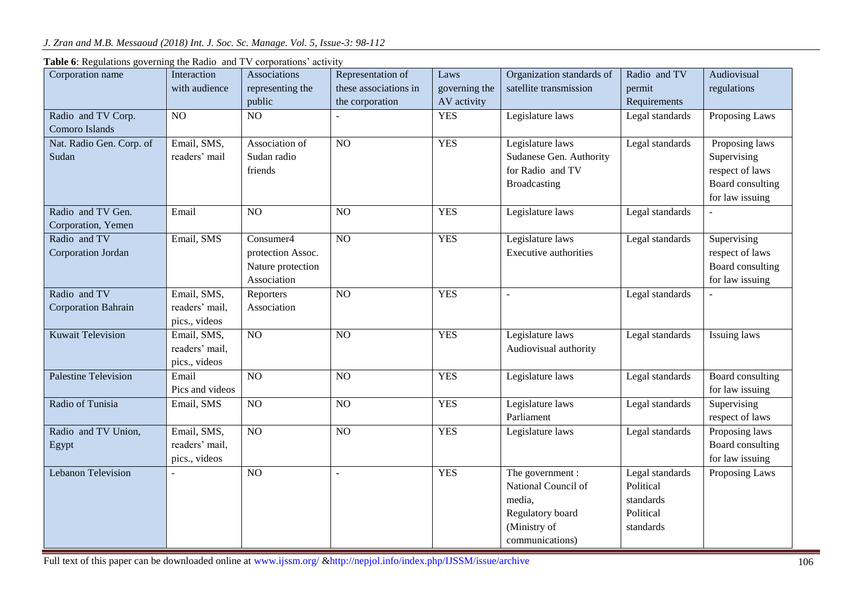| Corporation name                           | Interaction<br>with audience                   | Associations<br>representing the<br>public                         | Representation of<br>these associations in<br>the corporation | Laws<br>governing the<br>AV activity | Organization standards of<br>satellite transmission                                                      | Radio and TV<br>permit<br>Requirements                              | Audiovisual<br>regulations                                                              |
|--------------------------------------------|------------------------------------------------|--------------------------------------------------------------------|---------------------------------------------------------------|--------------------------------------|----------------------------------------------------------------------------------------------------------|---------------------------------------------------------------------|-----------------------------------------------------------------------------------------|
| Radio and TV Corp.<br>Comoro Islands       | NO                                             | NO                                                                 |                                                               | <b>YES</b>                           | Legislature laws                                                                                         | Legal standards                                                     | Proposing Laws                                                                          |
| Nat. Radio Gen. Corp. of<br>Sudan          | Email, SMS,<br>readers' mail                   | Association of<br>Sudan radio<br>friends                           | NO                                                            | <b>YES</b>                           | Legislature laws<br>Sudanese Gen. Authority<br>for Radio and TV<br><b>Broadcasting</b>                   | Legal standards                                                     | Proposing laws<br>Supervising<br>respect of laws<br>Board consulting<br>for law issuing |
| Radio and TV Gen.<br>Corporation, Yemen    | Email                                          | NO                                                                 | NO                                                            | <b>YES</b>                           | Legislature laws                                                                                         | Legal standards                                                     |                                                                                         |
| Radio and TV<br>Corporation Jordan         | Email, SMS                                     | Consumer4<br>protection Assoc.<br>Nature protection<br>Association | $\overline{NO}$                                               | <b>YES</b>                           | Legislature laws<br><b>Executive authorities</b>                                                         | Legal standards                                                     | Supervising<br>respect of laws<br>Board consulting<br>for law issuing                   |
| Radio and TV<br><b>Corporation Bahrain</b> | Email, SMS,<br>readers' mail,<br>pics., videos | Reporters<br>Association                                           | NO                                                            | <b>YES</b>                           |                                                                                                          | Legal standards                                                     |                                                                                         |
| <b>Kuwait Television</b>                   | Email, SMS,<br>readers' mail,<br>pics., videos | NO                                                                 | NO                                                            | <b>YES</b>                           | Legislature laws<br>Audiovisual authority                                                                | Legal standards                                                     | <b>Issuing laws</b>                                                                     |
| <b>Palestine Television</b>                | Email<br>Pics and videos                       | $\overline{NO}$                                                    | $\overline{NO}$                                               | <b>YES</b>                           | Legislature laws                                                                                         | Legal standards                                                     | <b>Board consulting</b><br>for law issuing                                              |
| Radio of Tunisia                           | Email, SMS                                     | NO                                                                 | NO                                                            | <b>YES</b>                           | Legislature laws<br>Parliament                                                                           | Legal standards                                                     | Supervising<br>respect of laws                                                          |
| Radio and TV Union,<br>Egypt               | Email, SMS,<br>readers' mail,<br>pics., videos | NO                                                                 | NO                                                            | <b>YES</b>                           | Legislature laws                                                                                         | Legal standards                                                     | Proposing laws<br>Board consulting<br>for law issuing                                   |
| <b>Lebanon Television</b>                  |                                                | N <sub>O</sub>                                                     |                                                               | <b>YES</b>                           | The government :<br>National Council of<br>media,<br>Regulatory board<br>(Ministry of<br>communications) | Legal standards<br>Political<br>standards<br>Political<br>standards | Proposing Laws                                                                          |

**Table 6**: Regulations governing the Radio and TV corporations' activity

Full text of this paper can be downloaded online at www.ijssm.org/ &http://nepjol.info/index.php/IJSSM/issue/archive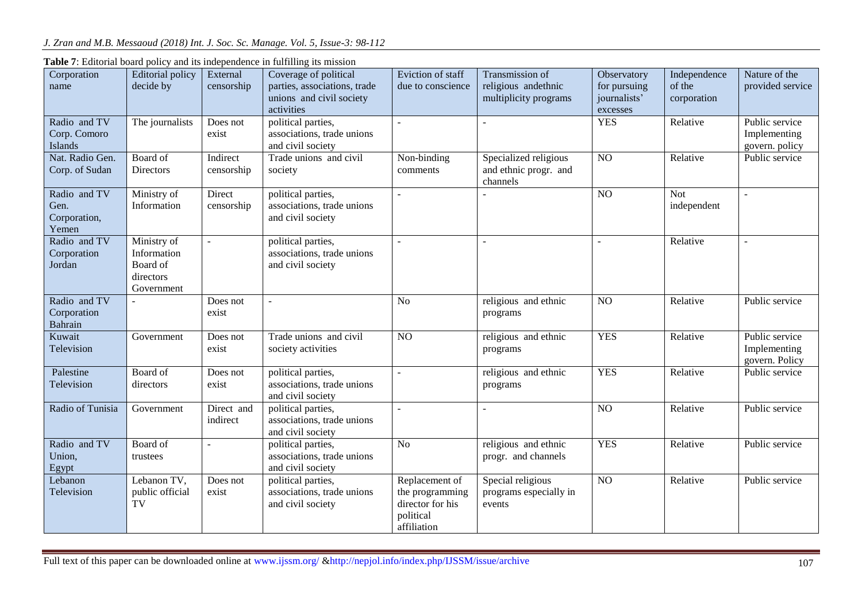|                       |                               |                        | able r. Eurorial board policy and no macpendence in furning no important |                                        |                                        |                             |                        |                                   |
|-----------------------|-------------------------------|------------------------|--------------------------------------------------------------------------|----------------------------------------|----------------------------------------|-----------------------------|------------------------|-----------------------------------|
| Corporation<br>name   | Editorial policy<br>decide by | External<br>censorship | Coverage of political<br>parties, associations, trade                    | Eviction of staff<br>due to conscience | Transmission of<br>religious andethnic | Observatory<br>for pursuing | Independence<br>of the | Nature of the<br>provided service |
|                       |                               |                        | unions and civil society                                                 |                                        | multiplicity programs                  | journalists'                | corporation            |                                   |
|                       |                               |                        | activities                                                               |                                        |                                        | excesses                    |                        |                                   |
| Radio and TV          | The journalists               | Does not               | political parties,                                                       | $\sim$                                 |                                        | <b>YES</b>                  | Relative               | Public service                    |
| Corp. Comoro          |                               | exist                  | associations, trade unions                                               |                                        |                                        |                             |                        | Implementing                      |
| Islands               |                               |                        | and civil society                                                        |                                        |                                        |                             |                        | govern. policy                    |
| Nat. Radio Gen.       | Board of                      | Indirect               | Trade unions and civil                                                   | Non-binding                            | Specialized religious                  | NO                          | Relative               | Public service                    |
| Corp. of Sudan        | <b>Directors</b>              | censorship             | society                                                                  | comments                               | and ethnic progr. and<br>channels      |                             |                        |                                   |
| Radio and TV          | Ministry of                   | Direct                 | political parties,                                                       |                                        |                                        | NO                          | <b>Not</b>             | ÷.                                |
| Gen.                  | Information                   | censorship             | associations, trade unions                                               |                                        |                                        |                             | independent            |                                   |
| Corporation,          |                               |                        | and civil society                                                        |                                        |                                        |                             |                        |                                   |
| Yemen                 |                               |                        |                                                                          |                                        |                                        |                             |                        |                                   |
| Radio and TV          | Ministry of                   |                        | political parties,                                                       | $\blacksquare$                         | $\overline{a}$                         | $\overline{a}$              | Relative               |                                   |
| Corporation<br>Jordan | Information<br>Board of       |                        | associations, trade unions<br>and civil society                          |                                        |                                        |                             |                        |                                   |
|                       | directors                     |                        |                                                                          |                                        |                                        |                             |                        |                                   |
|                       | Government                    |                        |                                                                          |                                        |                                        |                             |                        |                                   |
| Radio and TV          |                               | Does not               | $\overline{\phantom{a}}$                                                 | N <sub>o</sub>                         | religious and ethnic                   | $\overline{NO}$             | Relative               | Public service                    |
| Corporation           |                               | exist                  |                                                                          |                                        | programs                               |                             |                        |                                   |
| Bahrain               |                               |                        |                                                                          |                                        |                                        |                             |                        |                                   |
| Kuwait                | Government                    | Does not               | Trade unions and civil                                                   | NO                                     | religious and ethnic                   | <b>YES</b>                  | Relative               | Public service                    |
| Television            |                               | exist                  | society activities                                                       |                                        | programs                               |                             |                        | Implementing                      |
|                       |                               |                        |                                                                          |                                        |                                        |                             |                        | govern. Policy                    |
| Palestine             | Board of                      | Does not               | political parties,                                                       | $\sim$                                 | religious and ethnic                   | <b>YES</b>                  | Relative               | Public service                    |
| Television            | directors                     | exist                  | associations, trade unions                                               |                                        | programs                               |                             |                        |                                   |
| Radio of Tunisia      |                               | Direct and             | and civil society                                                        |                                        |                                        | NO                          | Relative               | Public service                    |
|                       | Government                    | indirect               | political parties,<br>associations, trade unions                         | $\overline{a}$                         |                                        |                             |                        |                                   |
|                       |                               |                        | and civil society                                                        |                                        |                                        |                             |                        |                                   |
| Radio and TV          | Board of                      |                        | political parties,                                                       | No                                     | religious and ethnic                   | <b>YES</b>                  | Relative               | Public service                    |
| Union,                | trustees                      |                        | associations, trade unions                                               |                                        | progr. and channels                    |                             |                        |                                   |
| Egypt                 |                               |                        | and civil society                                                        |                                        |                                        |                             |                        |                                   |
| Lebanon               | Lebanon TV,                   | Does not               | political parties,                                                       | Replacement of                         | Special religious                      | NO <sub>1</sub>             | Relative               | Public service                    |
| Television            | public official               | exist                  | associations, trade unions                                               | the programming                        | programs especially in                 |                             |                        |                                   |
|                       | TV                            |                        | and civil society                                                        | director for his                       | events                                 |                             |                        |                                   |
|                       |                               |                        |                                                                          | political                              |                                        |                             |                        |                                   |
|                       |                               |                        |                                                                          | affiliation                            |                                        |                             |                        |                                   |

**Table 7**: Editorial board policy and its independence in fulfilling its mission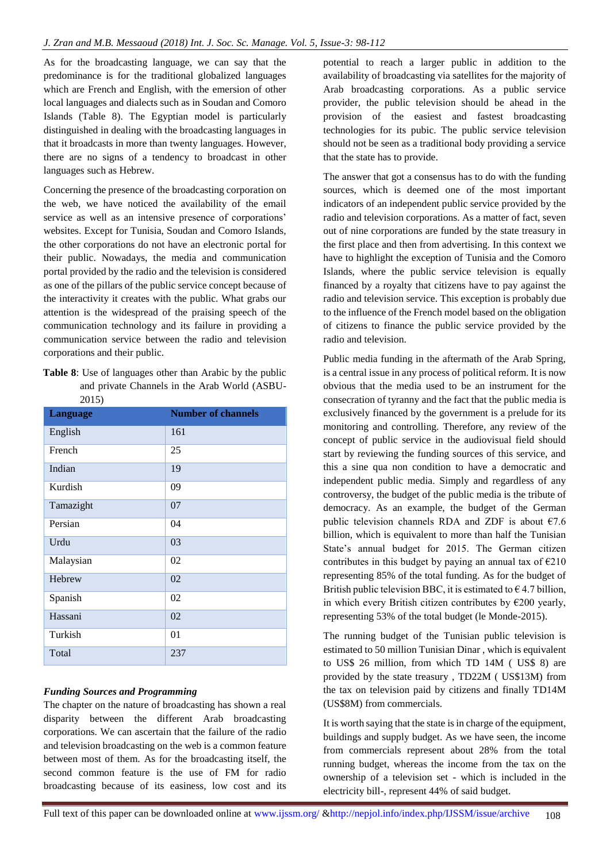As for the broadcasting language, we can say that the predominance is for the traditional globalized languages which are French and English, with the emersion of other local languages and dialects such as in Soudan and Comoro Islands (Table 8). The Egyptian model is particularly distinguished in dealing with the broadcasting languages in that it broadcasts in more than twenty languages. However, there are no signs of a tendency to broadcast in other languages such as Hebrew.

Concerning the presence of the broadcasting corporation on the web, we have noticed the availability of the email service as well as an intensive presence of corporations' websites. Except for Tunisia, Soudan and Comoro Islands, the other corporations do not have an electronic portal for their public. Nowadays, the media and communication portal provided by the radio and the television is considered as one of the pillars of the public service concept because of the interactivity it creates with the public. What grabs our attention is the widespread of the praising speech of the communication technology and its failure in providing a communication service between the radio and television corporations and their public.

**Table 8**: Use of languages other than Arabic by the public and private Channels in the Arab World (ASBU-2015)

| <b>Language</b> | <b>Number of channels</b> |
|-----------------|---------------------------|
| English         | 161                       |
| French          | 25                        |
| Indian          | 19                        |
| Kurdish         | 09                        |
| Tamazight       | 07                        |
| Persian         | 04                        |
| Urdu            | 03                        |
| Malaysian       | 02                        |
| Hebrew          | 02                        |
| Spanish         | 02                        |
| Hassani         | 02                        |
| Turkish         | 01                        |
| Total           | 237                       |

#### *Funding Sources and Programming*

The chapter on the nature of broadcasting has shown a real disparity between the different Arab broadcasting corporations. We can ascertain that the failure of the radio and television broadcasting on the web is a common feature between most of them. As for the broadcasting itself, the second common feature is the use of FM for radio broadcasting because of its easiness, low cost and its potential to reach a larger public in addition to the availability of broadcasting via satellites for the majority of Arab broadcasting corporations. As a public service provider, the public television should be ahead in the provision of the easiest and fastest broadcasting technologies for its pubic. The public service television should not be seen as a traditional body providing a service that the state has to provide.

The answer that got a consensus has to do with the funding sources, which is deemed one of the most important indicators of an independent public service provided by the radio and television corporations. As a matter of fact, seven out of nine corporations are funded by the state treasury in the first place and then from advertising. In this context we have to highlight the exception of Tunisia and the Comoro Islands, where the public service television is equally financed by a royalty that citizens have to pay against the radio and television service. This exception is probably due to the influence of the French model based on the obligation of citizens to finance the public service provided by the radio and television.

Public media funding in the aftermath of the Arab Spring, is a central issue in any process of political reform. It is now obvious that the media used to be an instrument for the consecration of tyranny and the fact that the public media is exclusively financed by the government is a prelude for its monitoring and controlling. Therefore, any review of the concept of public service in the audiovisual field should start by reviewing the funding sources of this service, and this a sine qua non condition to have a democratic and independent public media. Simply and regardless of any controversy, the budget of the public media is the tribute of democracy. As an example, the budget of the German public television channels RDA and ZDF is about  $\epsilon$ 7.6 billion, which is equivalent to more than half the Tunisian State's annual budget for 2015. The German citizen contributes in this budget by paying an annual tax of  $E$ 210 representing 85% of the total funding. As for the budget of British public television BBC, it is estimated to  $\epsilon$  4.7 billion, in which every British citizen contributes by  $\epsilon$ 200 yearly, representing 53% of the total budget (le Monde-2015).

The running budget of the Tunisian public television is estimated to 50 million Tunisian Dinar , which is equivalent to US\$ 26 million, from which TD 14M ( US\$ 8) are provided by the state treasury , TD22M ( US\$13M) from the tax on television paid by citizens and finally TD14M (US\$8M) from commercials.

It is worth saying that the state is in charge of the equipment, buildings and supply budget. As we have seen, the income from commercials represent about 28% from the total running budget, whereas the income from the tax on the ownership of a television set - which is included in the electricity bill-, represent 44% of said budget.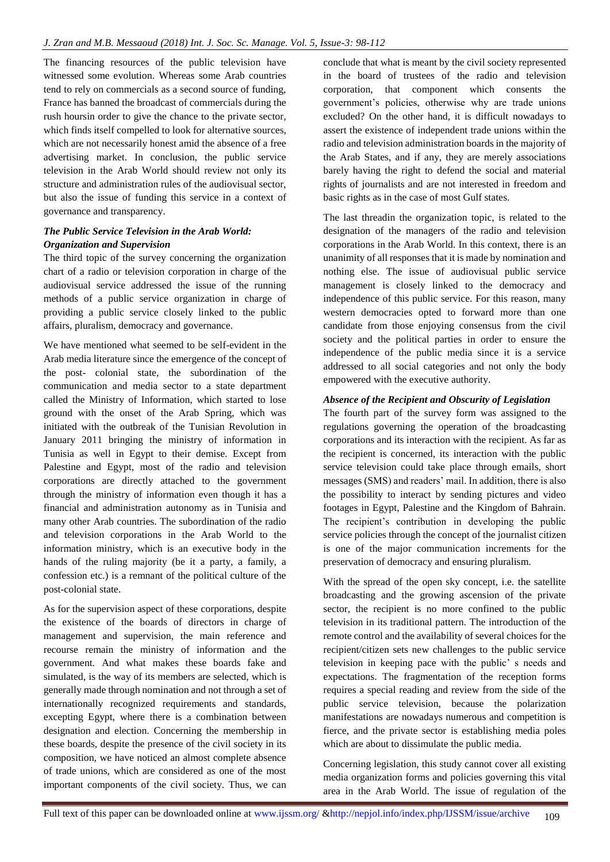The financing resources of the public television have witnessed some evolution. Whereas some Arab countries tend to rely on commercials as a second source of funding, France has banned the broadcast of commercials during the rush hoursin order to give the chance to the private sector, which finds itself compelled to look for alternative sources, which are not necessarily honest amid the absence of a free advertising market. In conclusion, the public service television in the Arab World should review not only its structure and administration rules of the audiovisual sector, but also the issue of funding this service in a context of governance and transparency.

## *The Public Service Television in the Arab World: Organization and Supervision*

The third topic of the survey concerning the organization chart of a radio or television corporation in charge of the audiovisual service addressed the issue of the running methods of a public service organization in charge of providing a public service closely linked to the public affairs, pluralism, democracy and governance.

We have mentioned what seemed to be self-evident in the Arab media literature since the emergence of the concept of the post- colonial state, the subordination of the communication and media sector to a state department called the Ministry of Information, which started to lose ground with the onset of the Arab Spring, which was initiated with the outbreak of the Tunisian Revolution in January 2011 bringing the ministry of information in Tunisia as well in Egypt to their demise. Except from Palestine and Egypt, most of the radio and television corporations are directly attached to the government through the ministry of information even though it has a financial and administration autonomy as in Tunisia and many other Arab countries. The subordination of the radio and television corporations in the Arab World to the information ministry, which is an executive body in the hands of the ruling majority (be it a party, a family, a confession etc.) is a remnant of the political culture of the post-colonial state.

As for the supervision aspect of these corporations, despite the existence of the boards of directors in charge of management and supervision, the main reference and recourse remain the ministry of information and the government. And what makes these boards fake and simulated, is the way of its members are selected, which is generally made through nomination and not through a set of internationally recognized requirements and standards, excepting Egypt, where there is a combination between designation and election. Concerning the membership in these boards, despite the presence of the civil society in its composition, we have noticed an almost complete absence of trade unions, which are considered as one of the most important components of the civil society. Thus, we can

conclude that what is meant by the civil society represented in the board of trustees of the radio and television corporation, that component which consents the government's policies, otherwise why are trade unions excluded? On the other hand, it is difficult nowadays to assert the existence of independent trade unions within the radio and television administration boards in the majority of the Arab States, and if any, they are merely associations barely having the right to defend the social and material rights of journalists and are not interested in freedom and basic rights as in the case of most Gulf states.

The last threadin the organization topic, is related to the designation of the managers of the radio and television corporations in the Arab World. In this context, there is an unanimity of all responses that it is made by nomination and nothing else. The issue of audiovisual public service management is closely linked to the democracy and independence of this public service. For this reason, many western democracies opted to forward more than one candidate from those enjoying consensus from the civil society and the political parties in order to ensure the independence of the public media since it is a service addressed to all social categories and not only the body empowered with the executive authority.

#### *Absence of the Recipient and Obscurity of Legislation*

The fourth part of the survey form was assigned to the regulations governing the operation of the broadcasting corporations and its interaction with the recipient. As far as the recipient is concerned, its interaction with the public service television could take place through emails, short messages (SMS) and readers' mail. In addition, there is also the possibility to interact by sending pictures and video footages in Egypt, Palestine and the Kingdom of Bahrain. The recipient's contribution in developing the public service policies through the concept of the journalist citizen is one of the major communication increments for the preservation of democracy and ensuring pluralism.

With the spread of the open sky concept, i.e. the satellite broadcasting and the growing ascension of the private sector, the recipient is no more confined to the public television in its traditional pattern. The introduction of the remote control and the availability of several choices for the recipient/citizen sets new challenges to the public service television in keeping pace with the public' s needs and expectations. The fragmentation of the reception forms requires a special reading and review from the side of the public service television, because the polarization manifestations are nowadays numerous and competition is fierce, and the private sector is establishing media poles which are about to dissimulate the public media.

Concerning legislation, this study cannot cover all existing media organization forms and policies governing this vital area in the Arab World. The issue of regulation of the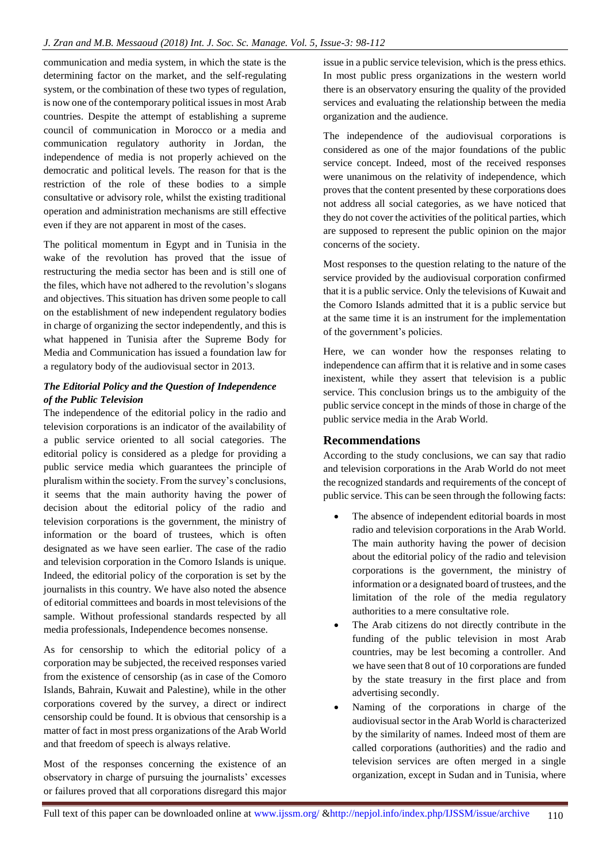communication and media system, in which the state is the determining factor on the market, and the self-regulating system, or the combination of these two types of regulation, is now one of the contemporary political issues in most Arab countries. Despite the attempt of establishing a supreme council of communication in Morocco or a media and communication regulatory authority in Jordan, the independence of media is not properly achieved on the democratic and political levels. The reason for that is the restriction of the role of these bodies to a simple consultative or advisory role, whilst the existing traditional operation and administration mechanisms are still effective even if they are not apparent in most of the cases.

The political momentum in Egypt and in Tunisia in the wake of the revolution has proved that the issue of restructuring the media sector has been and is still one of the files, which have not adhered to the revolution's slogans and objectives. This situation has driven some people to call on the establishment of new independent regulatory bodies in charge of organizing the sector independently, and this is what happened in Tunisia after the Supreme Body for Media and Communication has issued a foundation law for a regulatory body of the audiovisual sector in 2013.

## *The Editorial Policy and the Question of Independence of the Public Television*

The independence of the editorial policy in the radio and television corporations is an indicator of the availability of a public service oriented to all social categories. The editorial policy is considered as a pledge for providing a public service media which guarantees the principle of pluralism within the society. From the survey's conclusions, it seems that the main authority having the power of decision about the editorial policy of the radio and television corporations is the government, the ministry of information or the board of trustees, which is often designated as we have seen earlier. The case of the radio and television corporation in the Comoro Islands is unique. Indeed, the editorial policy of the corporation is set by the journalists in this country. We have also noted the absence of editorial committees and boards in most televisions of the sample. Without professional standards respected by all media professionals, Independence becomes nonsense.

As for censorship to which the editorial policy of a corporation may be subjected, the received responses varied from the existence of censorship (as in case of the Comoro Islands, Bahrain, Kuwait and Palestine), while in the other corporations covered by the survey, a direct or indirect censorship could be found. It is obvious that censorship is a matter of fact in most press organizations of the Arab World and that freedom of speech is always relative.

Most of the responses concerning the existence of an observatory in charge of pursuing the journalists' excesses or failures proved that all corporations disregard this major

issue in a public service television, which is the press ethics. In most public press organizations in the western world there is an observatory ensuring the quality of the provided services and evaluating the relationship between the media organization and the audience.

The independence of the audiovisual corporations is considered as one of the major foundations of the public service concept. Indeed, most of the received responses were unanimous on the relativity of independence, which proves that the content presented by these corporations does not address all social categories, as we have noticed that they do not cover the activities of the political parties, which are supposed to represent the public opinion on the major concerns of the society.

Most responses to the question relating to the nature of the service provided by the audiovisual corporation confirmed that it is a public service. Only the televisions of Kuwait and the Comoro Islands admitted that it is a public service but at the same time it is an instrument for the implementation of the government's policies.

Here, we can wonder how the responses relating to independence can affirm that it is relative and in some cases inexistent, while they assert that television is a public service. This conclusion brings us to the ambiguity of the public service concept in the minds of those in charge of the public service media in the Arab World.

## **Recommendations**

According to the study conclusions, we can say that radio and television corporations in the Arab World do not meet the recognized standards and requirements of the concept of public service. This can be seen through the following facts:

- The absence of independent editorial boards in most radio and television corporations in the Arab World. The main authority having the power of decision about the editorial policy of the radio and television corporations is the government, the ministry of information or a designated board of trustees, and the limitation of the role of the media regulatory authorities to a mere consultative role.
- The Arab citizens do not directly contribute in the funding of the public television in most Arab countries, may be lest becoming a controller. And we have seen that 8 out of 10 corporations are funded by the state treasury in the first place and from advertising secondly.
- Naming of the corporations in charge of the audiovisual sector in the Arab World is characterized by the similarity of names. Indeed most of them are called corporations (authorities) and the radio and television services are often merged in a single organization, except in Sudan and in Tunisia, where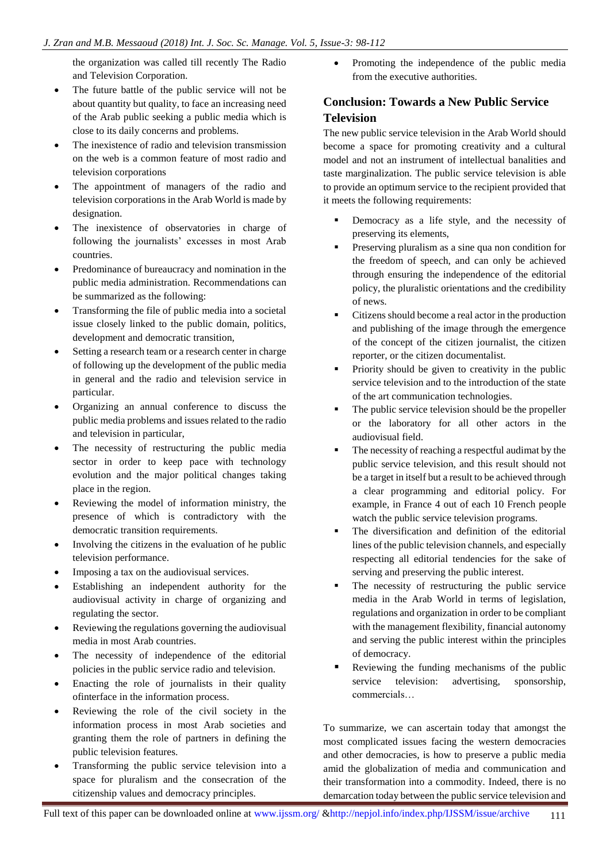the organization was called till recently The Radio and Television Corporation.

- The future battle of the public service will not be about quantity but quality, to face an increasing need of the Arab public seeking a public media which is close to its daily concerns and problems.
- The inexistence of radio and television transmission on the web is a common feature of most radio and television corporations
- The appointment of managers of the radio and television corporations in the Arab World is made by designation.
- The inexistence of observatories in charge of following the journalists' excesses in most Arab countries.
- Predominance of bureaucracy and nomination in the public media administration. Recommendations can be summarized as the following:
- Transforming the file of public media into a societal issue closely linked to the public domain, politics, development and democratic transition,
- Setting a research team or a research center in charge of following up the development of the public media in general and the radio and television service in particular.
- Organizing an annual conference to discuss the public media problems and issues related to the radio and television in particular,
- The necessity of restructuring the public media sector in order to keep pace with technology evolution and the major political changes taking place in the region.
- Reviewing the model of information ministry, the presence of which is contradictory with the democratic transition requirements.
- Involving the citizens in the evaluation of he public television performance.
- Imposing a tax on the audiovisual services.
- Establishing an independent authority for the audiovisual activity in charge of organizing and regulating the sector.
- Reviewing the regulations governing the audiovisual media in most Arab countries.
- The necessity of independence of the editorial policies in the public service radio and television.
- Enacting the role of journalists in their quality ofinterface in the information process.
- Reviewing the role of the civil society in the information process in most Arab societies and granting them the role of partners in defining the public television features.
- Transforming the public service television into a space for pluralism and the consecration of the citizenship values and democracy principles.

 Promoting the independence of the public media from the executive authorities.

# **Conclusion: Towards a New Public Service Television**

The new public service television in the Arab World should become a space for promoting creativity and a cultural model and not an instrument of intellectual banalities and taste marginalization. The public service television is able to provide an optimum service to the recipient provided that it meets the following requirements:

- Democracy as a life style, and the necessity of preserving its elements,
- Preserving pluralism as a sine qua non condition for the freedom of speech, and can only be achieved through ensuring the independence of the editorial policy, the pluralistic orientations and the credibility of news.
- Citizens should become a real actor in the production and publishing of the image through the emergence of the concept of the citizen journalist, the citizen reporter, or the citizen documentalist.
- Priority should be given to creativity in the public service television and to the introduction of the state of the art communication technologies.
- The public service television should be the propeller or the laboratory for all other actors in the audiovisual field.
- The necessity of reaching a respectful audimat by the public service television, and this result should not be a target in itself but a result to be achieved through a clear programming and editorial policy. For example, in France 4 out of each 10 French people watch the public service television programs.
- The diversification and definition of the editorial lines of the public television channels, and especially respecting all editorial tendencies for the sake of serving and preserving the public interest.
- The necessity of restructuring the public service media in the Arab World in terms of legislation, regulations and organization in order to be compliant with the management flexibility, financial autonomy and serving the public interest within the principles of democracy.
- Reviewing the funding mechanisms of the public service television: advertising, sponsorship, commercials…

To summarize, we can ascertain today that amongst the most complicated issues facing the western democracies and other democracies, is how to preserve a public media amid the globalization of media and communication and their transformation into a commodity. Indeed, there is no demarcation today between the public service television and